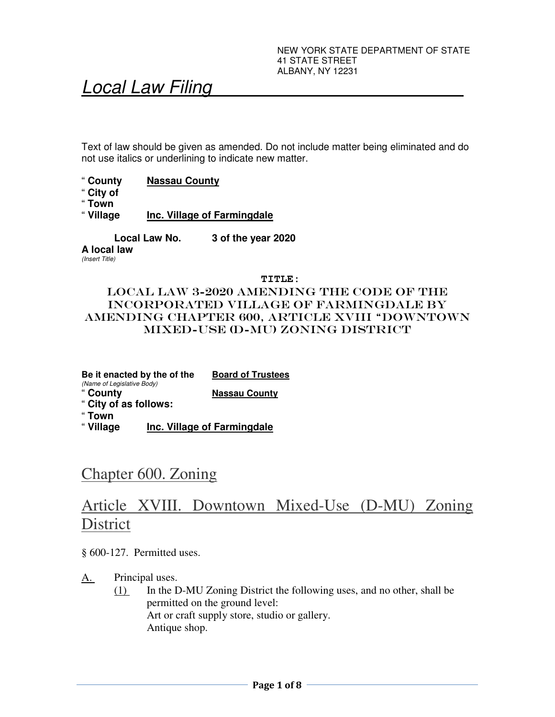# Local Law Filing

Text of law should be given as amended. Do not include matter being eliminated and do not use italics or underlining to indicate new matter.

- " **County Nassau County**
- " **City of**
- 
- " **Town Inc. Village of Farmingdale**

**Local Law No. 3 of the year 2020** 

**A local law**  (Insert Title)

 **TITLE:** 

## LOCAL LAW 3-2020 AMENDING the code of the INCORPORATED village of farmingdale by amending CHAPTER 600, ARTICLE XVIII "DOWNTOWN MIXED-USE (D-MU) ZONING DISTRICT

**Be it enacted by the of the Board of Trustees**  (Name of Legislative Body) " **County Nassau County**  " **City of as follows:** 

" **Town** 

" **Village Inc. Village of Farmingdale** 

## Chapter 600. Zoning

## Article XVIII. Downtown Mixed-Use (D-MU) Zoning **District**

§ 600-127. Permitted uses.

A. Principal uses.

(1) In the D-MU Zoning District the following uses, and no other, shall be permitted on the ground level: Art or craft supply store, studio or gallery. Antique shop.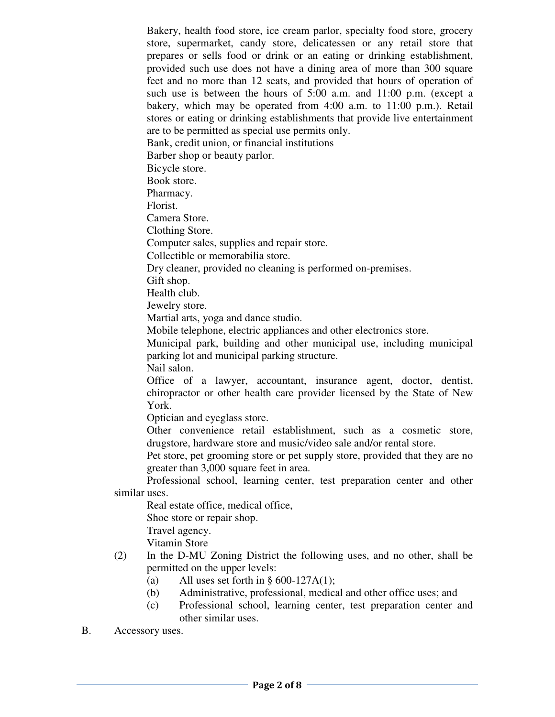Bakery, health food store, ice cream parlor, specialty food store, grocery store, supermarket, candy store, delicatessen or any retail store that prepares or sells food or drink or an eating or drinking establishment, provided such use does not have a dining area of more than 300 square feet and no more than 12 seats, and provided that hours of operation of such use is between the hours of 5:00 a.m. and 11:00 p.m. (except a bakery, which may be operated from 4:00 a.m. to 11:00 p.m.). Retail stores or eating or drinking establishments that provide live entertainment are to be permitted as special use permits only. Bank, credit union, or financial institutions Barber shop or beauty parlor.

Bicycle store.

Book store.

Pharmacy.

Florist.

Camera Store.

Clothing Store.

Computer sales, supplies and repair store.

Collectible or memorabilia store.

Dry cleaner, provided no cleaning is performed on-premises.

Gift shop.

Health club.

Jewelry store.

Martial arts, yoga and dance studio.

Mobile telephone, electric appliances and other electronics store.

Municipal park, building and other municipal use, including municipal parking lot and municipal parking structure.

Nail salon.

Office of a lawyer, accountant, insurance agent, doctor, dentist, chiropractor or other health care provider licensed by the State of New York.

Optician and eyeglass store.

Other convenience retail establishment, such as a cosmetic store, drugstore, hardware store and music/video sale and/or rental store.

Pet store, pet grooming store or pet supply store, provided that they are no greater than 3,000 square feet in area.

Professional school, learning center, test preparation center and other similar uses.

Real estate office, medical office,

Shoe store or repair shop.

Travel agency.

Vitamin Store

- (2) In the D-MU Zoning District the following uses, and no other, shall be permitted on the upper levels:
	- (a) All uses set forth in  $\S$  600-127A(1);
	- (b) Administrative, professional, medical and other office uses; and
	- (c) Professional school, learning center, test preparation center and other similar uses.
- B. Accessory uses.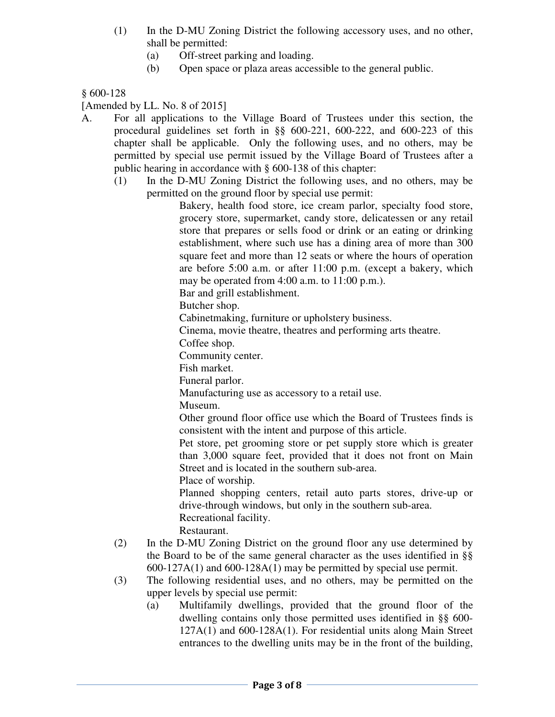- (1) In the D-MU Zoning District the following accessory uses, and no other, shall be permitted:
	- (a) Off-street parking and loading.
	- (b) Open space or plaza areas accessible to the general public.

## § 600-128

[Amended by LL. No. 8 of 2015]

- A. For all applications to the Village Board of Trustees under this section, the procedural guidelines set forth in §§ 600-221, 600-222, and 600-223 of this chapter shall be applicable. Only the following uses, and no others, may be permitted by special use permit issued by the Village Board of Trustees after a public hearing in accordance with § 600-138 of this chapter:
	- (1) In the D-MU Zoning District the following uses, and no others, may be permitted on the ground floor by special use permit:

Bakery, health food store, ice cream parlor, specialty food store, grocery store, supermarket, candy store, delicatessen or any retail store that prepares or sells food or drink or an eating or drinking establishment, where such use has a dining area of more than 300 square feet and more than 12 seats or where the hours of operation are before 5:00 a.m. or after 11:00 p.m. (except a bakery, which may be operated from 4:00 a.m. to 11:00 p.m.).

Bar and grill establishment.

Butcher shop.

Cabinetmaking, furniture or upholstery business.

Cinema, movie theatre, theatres and performing arts theatre.

Coffee shop.

Community center.

Fish market.

Funeral parlor.

Manufacturing use as accessory to a retail use.

Museum.

Other ground floor office use which the Board of Trustees finds is consistent with the intent and purpose of this article.

Pet store, pet grooming store or pet supply store which is greater than 3,000 square feet, provided that it does not front on Main Street and is located in the southern sub-area.

Place of worship.

Planned shopping centers, retail auto parts stores, drive-up or drive-through windows, but only in the southern sub-area. Recreational facility.

Restaurant.

- (2) In the D-MU Zoning District on the ground floor any use determined by the Board to be of the same general character as the uses identified in §§ 600-127A(1) and 600-128A(1) may be permitted by special use permit.
- (3) The following residential uses, and no others, may be permitted on the upper levels by special use permit:
	- (a) Multifamily dwellings, provided that the ground floor of the dwelling contains only those permitted uses identified in §§ 600- 127A(1) and 600-128A(1). For residential units along Main Street entrances to the dwelling units may be in the front of the building,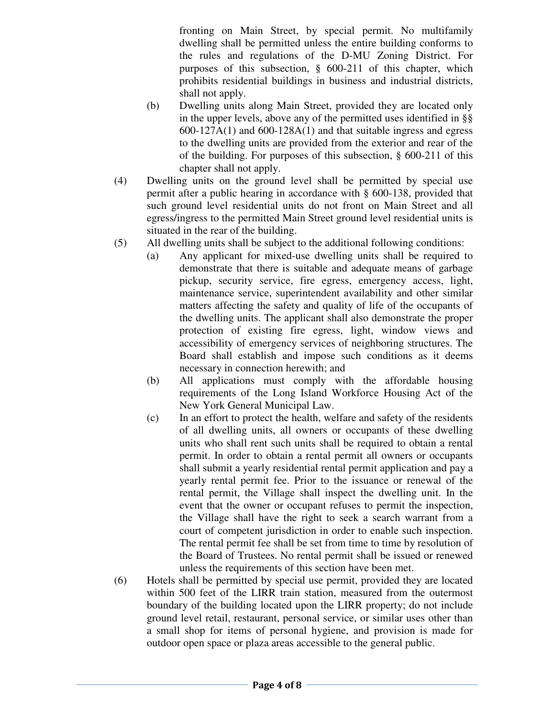fronting on Main Street, by special permit. No multifamily dwelling shall be permitted unless the entire building conforms to the rules and regulations of the D-MU Zoning District. For purposes of this subsection, § 600-211 of this chapter, which prohibits residential buildings in business and industrial districts, shall not apply.

- (b) Dwelling units along Main Street, provided they are located only in the upper levels, above any of the permitted uses identified in §§  $600-127A(1)$  and  $600-128A(1)$  and that suitable ingress and egress to the dwelling units are provided from the exterior and rear of the of the building. For purposes of this subsection, § 600-211 of this chapter shall not apply.
- (4) Dwelling units on the ground level shall be permitted by special use permit after a public hearing in accordance with § 600-138, provided that such ground level residential units do not front on Main Street and all egress/ingress to the permitted Main Street ground level residential units is situated in the rear of the building.
- (5) All dwelling units shall be subject to the additional following conditions:
	- (a) Any applicant for mixed-use dwelling units shall be required to demonstrate that there is suitable and adequate means of garbage pickup, security service, fire egress, emergency access, light, maintenance service, superintendent availability and other similar matters affecting the safety and quality of life of the occupants of the dwelling units. The applicant shall also demonstrate the proper protection of existing fire egress, light, window views and accessibility of emergency services of neighboring structures. The Board shall establish and impose such conditions as it deems necessary in connection herewith; and
	- (b) All applications must comply with the affordable housing requirements of the Long Island Workforce Housing Act of the New York General Municipal Law.
	- (c) In an effort to protect the health, welfare and safety of the residents of all dwelling units, all owners or occupants of these dwelling units who shall rent such units shall be required to obtain a rental permit. In order to obtain a rental permit all owners or occupants shall submit a yearly residential rental permit application and pay a yearly rental permit fee. Prior to the issuance or renewal of the rental permit, the Village shall inspect the dwelling unit. In the event that the owner or occupant refuses to permit the inspection, the Village shall have the right to seek a search warrant from a court of competent jurisdiction in order to enable such inspection. The rental permit fee shall be set from time to time by resolution of the Board of Trustees. No rental permit shall be issued or renewed unless the requirements of this section have been met.
- (6) Hotels shall be permitted by special use permit, provided they are located within 500 feet of the LIRR train station, measured from the outermost boundary of the building located upon the LIRR property; do not include ground level retail, restaurant, personal service, or similar uses other than a small shop for items of personal hygiene, and provision is made for outdoor open space or plaza areas accessible to the general public.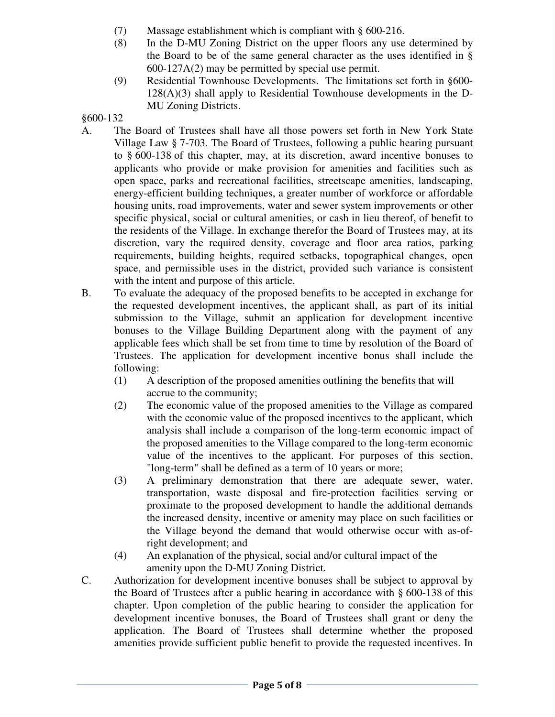- (7) Massage establishment which is compliant with § 600-216.
- (8) In the D-MU Zoning District on the upper floors any use determined by the Board to be of the same general character as the uses identified in § 600-127A(2) may be permitted by special use permit.
- (9) Residential Townhouse Developments. The limitations set forth in §600- 128(A)(3) shall apply to Residential Townhouse developments in the D-MU Zoning Districts.

### §600-132

- A. The Board of Trustees shall have all those powers set forth in New York State Village Law § 7-703. The Board of Trustees, following a public hearing pursuant to § 600-138 of this chapter, may, at its discretion, award incentive bonuses to applicants who provide or make provision for amenities and facilities such as open space, parks and recreational facilities, streetscape amenities, landscaping, energy-efficient building techniques, a greater number of workforce or affordable housing units, road improvements, water and sewer system improvements or other specific physical, social or cultural amenities, or cash in lieu thereof, of benefit to the residents of the Village. In exchange therefor the Board of Trustees may, at its discretion, vary the required density, coverage and floor area ratios, parking requirements, building heights, required setbacks, topographical changes, open space, and permissible uses in the district, provided such variance is consistent with the intent and purpose of this article.
- B. To evaluate the adequacy of the proposed benefits to be accepted in exchange for the requested development incentives, the applicant shall, as part of its initial submission to the Village, submit an application for development incentive bonuses to the Village Building Department along with the payment of any applicable fees which shall be set from time to time by resolution of the Board of Trustees. The application for development incentive bonus shall include the following:
	- (1) A description of the proposed amenities outlining the benefits that will accrue to the community;
	- (2) The economic value of the proposed amenities to the Village as compared with the economic value of the proposed incentives to the applicant, which analysis shall include a comparison of the long-term economic impact of the proposed amenities to the Village compared to the long-term economic value of the incentives to the applicant. For purposes of this section, "long-term" shall be defined as a term of 10 years or more;
	- (3) A preliminary demonstration that there are adequate sewer, water, transportation, waste disposal and fire-protection facilities serving or proximate to the proposed development to handle the additional demands the increased density, incentive or amenity may place on such facilities or the Village beyond the demand that would otherwise occur with as-ofright development; and
	- (4) An explanation of the physical, social and/or cultural impact of the amenity upon the D-MU Zoning District.
- C. Authorization for development incentive bonuses shall be subject to approval by the Board of Trustees after a public hearing in accordance with § 600-138 of this chapter. Upon completion of the public hearing to consider the application for development incentive bonuses, the Board of Trustees shall grant or deny the application. The Board of Trustees shall determine whether the proposed amenities provide sufficient public benefit to provide the requested incentives. In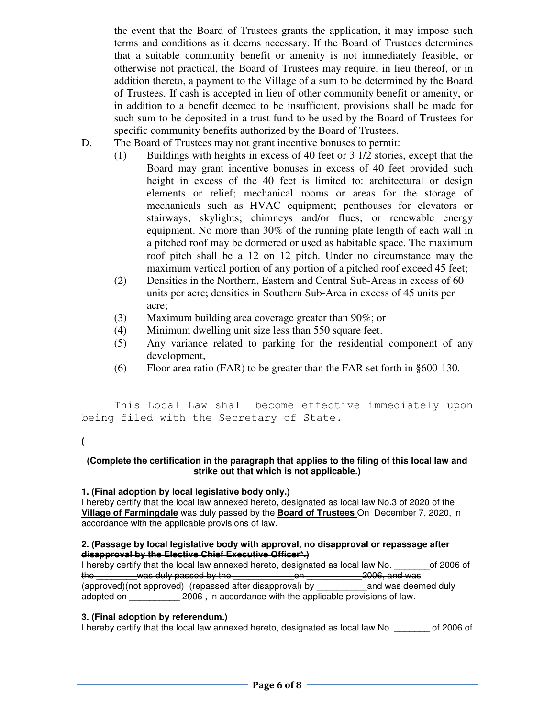the event that the Board of Trustees grants the application, it may impose such terms and conditions as it deems necessary. If the Board of Trustees determines that a suitable community benefit or amenity is not immediately feasible, or otherwise not practical, the Board of Trustees may require, in lieu thereof, or in addition thereto, a payment to the Village of a sum to be determined by the Board of Trustees. If cash is accepted in lieu of other community benefit or amenity, or in addition to a benefit deemed to be insufficient, provisions shall be made for such sum to be deposited in a trust fund to be used by the Board of Trustees for specific community benefits authorized by the Board of Trustees.

- D. The Board of Trustees may not grant incentive bonuses to permit:
	- (1) Buildings with heights in excess of 40 feet or 3 1/2 stories, except that the Board may grant incentive bonuses in excess of 40 feet provided such height in excess of the 40 feet is limited to: architectural or design elements or relief; mechanical rooms or areas for the storage of mechanicals such as HVAC equipment; penthouses for elevators or stairways; skylights; chimneys and/or flues; or renewable energy equipment. No more than 30% of the running plate length of each wall in a pitched roof may be dormered or used as habitable space. The maximum roof pitch shall be a 12 on 12 pitch. Under no circumstance may the maximum vertical portion of any portion of a pitched roof exceed 45 feet;
	- (2) Densities in the Northern, Eastern and Central Sub-Areas in excess of 60 units per acre; densities in Southern Sub-Area in excess of 45 units per acre;
	- (3) Maximum building area coverage greater than 90%; or
	- (4) Minimum dwelling unit size less than 550 square feet.
	- (5) Any variance related to parking for the residential component of any development,
	- (6) Floor area ratio (FAR) to be greater than the FAR set forth in §600-130.

 This Local Law shall become effective immediately upon being filed with the Secretary of State.

#### **(**

#### **(Complete the certification in the paragraph that applies to the filing of this local law and strike out that which is not applicable.)**

#### **1. (Final adoption by local legislative body only.)**

I hereby certify that the local law annexed hereto, designated as local law No.3 of 2020 of the **Village of Farmingdale** was duly passed by the **Board of Trustees** On December 7, 2020, in accordance with the applicable provisions of law.

#### **2. (Passage by local legislative body with approval, no disapproval or repassage after disapproval by the Elective Chief Executive Officer\*.)**

I hereby certify that the local law annexed hereto, designated as local law No. \_\_\_\_\_\_\_of 2006 of the was duly passed by the **EXALL COVERT 2006**, and was (approved)(not approved) (repassed after disapproval) by \_\_\_\_\_\_\_\_\_\_and was deemed duly adopted on \_\_\_\_\_\_\_\_\_\_ 2006 , in accordance with the applicable provisions of law.

### **3. (Final adoption by referendum.)**

I hereby certify that the local law annexed hereto, designated as local law No. \_\_\_\_\_\_\_ of 2006 of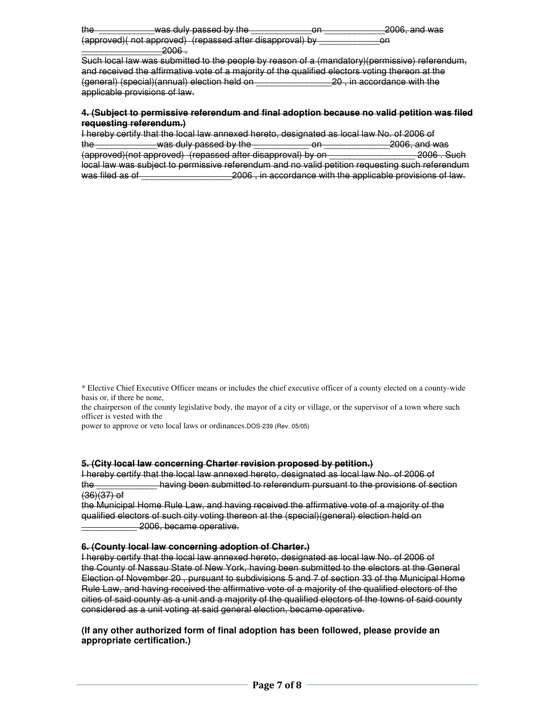| the |   | was duly nassad by the<br><del>was duly passed by the</del> |                                                           |   | $2006$ and was<br>$-$ 000, and wad |
|-----|---|-------------------------------------------------------------|-----------------------------------------------------------|---|------------------------------------|
|     |   |                                                             | (approved)( not approved) (repassed after disapproval) by | ள |                                    |
|     | . |                                                             |                                                           |   |                                    |

Such local law was submitted to the people by reason of a (mandatory)(permissive) referendum, and received the affirmative vote of a majority of the qualified electors voting thereon at the (general) (special)(annual) election held on \_\_\_\_\_\_\_\_\_\_\_\_\_\_\_20 , in accordance with the applicable provisions of law.

#### **4. (Subject to permissive referendum and final adoption because no valid petition was filed requesting referendum.)**

|                 | I hereby certify that the local law annexed hereto, designated as local law No. of 2006 of      |          |                                                             |
|-----------------|-------------------------------------------------------------------------------------------------|----------|-------------------------------------------------------------|
| the             | -was duly passed by the                                                                         | nn.<br>ள | 2006, and was                                               |
|                 | (approved)(not approved) (repassed after disapproval) by on                                     |          | 2006 Such                                                   |
|                 | local law was subject to permissive referendum and no valid petition requesting such referendum |          |                                                             |
| was filed as of |                                                                                                 |          | _2006, in accordance with the applicable provisions of law. |

\* Elective Chief Executive Officer means or includes the chief executive officer of a county elected on a county-wide basis or, if there be none,

the chairperson of the county legislative body, the mayor of a city or village, or the supervisor of a town where such officer is vested with the

power to approve or veto local laws or ordinances.DOS-239 (Rev. 05/05)

#### **5. (City local law concerning Charter revision proposed by petition.)**

I hereby certify that the local law annexed hereto, designated as local law No. of 2006 of the \_\_\_\_\_\_\_\_\_\_\_\_ having been submitted to referendum pursuant to the provisions of section (36)(37) of

the Municipal Home Rule Law, and having received the affirmative vote of a majority of the qualified electors of such city voting thereon at the (special)(general) election held on \_\_\_\_\_\_\_\_\_\_\_ 2006, became operative.

#### **6. (County local law concerning adoption of Charter.)**

I hereby certify that the local law annexed hereto, designated as local law No. of 2006 of the County of Nassau State of New York, having been submitted to the electors at the General Election of November 20 , pursuant to subdivisions 5 and 7 of section 33 of the Municipal Home Rule Law, and having received the affirmative vote of a majority of the qualified electors of the cities of said county as a unit and a majority of the qualified electors of the towns of said county considered as a unit voting at said general election, became operative.

**(If any other authorized form of final adoption has been followed, please provide an appropriate certification.)**